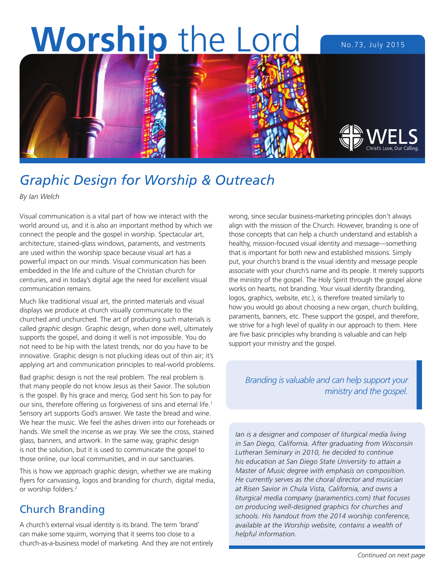

# *Graphic Design for Worship & Outreach*

*By Ian Welch*

Visual communication is a vital part of how we interact with the world around us, and it is also an important method by which we connect the people and the gospel in worship. Spectacular art, architecture, stained-glass windows, paraments, and vestments are used within the worship space because visual art has a powerful impact on our minds. Visual communication has been embedded in the life and culture of the Christian church for centuries, and in today's digital age the need for excellent visual communication remains.

Much like traditional visual art, the printed materials and visual displays we produce at church visually communicate to the churched and unchurched. The art of producing such materials is called *graphic design*. Graphic design, when done well, ultimately supports the gospel, and doing it well is not impossible. You do not need to be hip with the latest trends, nor do you have to be innovative. Graphic design is not plucking ideas out of thin air; it's applying art and communication principles to real-world problems.

Bad graphic design is not the real problem. The real problem is that many people do not know Jesus as their Savior. The solution is the gospel. By his grace and mercy, God sent his Son to pay for our sins, therefore offering us forgiveness of sins and eternal life.<sup>1</sup> Sensory art supports God's answer. We taste the bread and wine. We hear the music. We feel the ashes driven into our foreheads or hands. We smell the incense as we pray. We see the cross, stained glass, banners, and artwork. In the same way, graphic design is not the solution, but it is used to communicate the gospel to those online, our local communities, and in our sanctuaries.

This is how we approach graphic design, whether we are making flyers for canvassing, logos and branding for church, digital media, or worship folders.2

# Church Branding

A church's external visual identity is its brand. The term 'brand' can make some squirm, worrying that it seems too close to a church-as-a-business model of marketing. And they are not entirely wrong, since secular business-marketing principles don't always align with the mission of the Church. However, branding is one of those concepts that can help a church understand and establish a healthy, mission-focused visual identity and message—something that is important for both new and established missions. Simply put, your church's brand is the visual identity and message people associate with your church's name and its people. It merely supports the ministry of the gospel. The Holy Spirit through the gospel alone works on hearts, not branding. Your visual identity (branding, logos, graphics, website, etc.), is therefore treated similarly to how you would go about choosing a new organ, church building, paraments, banners, etc. These support the gospel, and therefore, we strive for a high level of quality in our approach to them. Here are five basic principles why branding is valuable and can help support your ministry and the gospel.

*Branding is valuable and can help support your ministry and the gospel.*

*Ian is a designer and composer of liturgical media living in San Diego, California. After graduating from Wisconsin Lutheran Seminary in 2010, he decided to continue his education at San Diego State University to attain a Master of Music degree with emphasis on composition. He currently serves as the choral director and musician at Risen Savior in Chula Vista, California, and owns a liturgical media company (paramentics.com) that focuses on producing well-designed graphics for churches and schools. His handout from the 2014 worship conference, available at the Worship website, contains a wealth of helpful information.*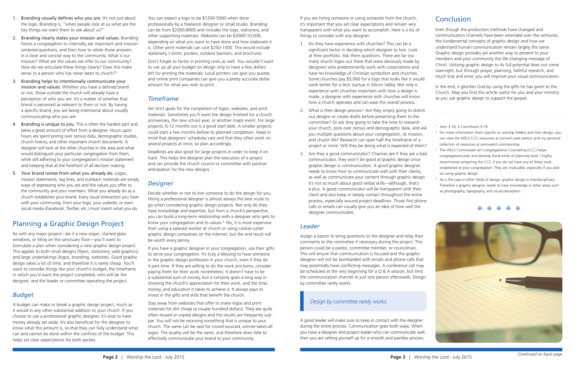# **Conclusion**

- 1. Branding visually defines who you are. It's not just about the logo. Branding is, "when people look at us what are the key things we want them to see about us?"
- 2. Branding clearly states your mission and values. Branding forces a congregation to internally ask important and missioncentered questions, and then how to relate those answers in a clear and concise way to the community. What is our mission? What are the values we offer to our community? How do we articulate these things clearly? Does this make sense to a person who has never been to church?<sup>3</sup>
- 3. Branding helps to intentionally communicate your mission and values. Whether you have a defined brand or not, those outside the church will already have a perception of who you are. It's a matter of whether that brand is perceived as relevant to them or not. By having a specific brand, you are being intentional about visually communicating who you are.
- 4. Branding is unique to you. This is often the hardest part and takes a great amount of effort from a designer. Hours upon hours are spent poring over census data, demographic studies, church history, and other important church documents. A designer will look at the other churches in the area and what would distinguish your particular congregation from them, while still adhering to your congregation's mission statement and keeping that at the forefront of all decision making.
- 5. Your brand comes from what you already do. Logos, mission statements, tag lines, and outreach materials are simply ways of expressing who you are and the values you offer to the community and your members. What you already do as a church establishes your brand. Every visual interaction you have with your community, from your logo, your website, or even social media (Facebook, Twitter, etc.) must match what you do.

# Planning a Graphic Design Project

As with any major project—be it a new organ, stained glass windows, or tiling on the sanctuary floor—you'll want to formulate a plan when considering a new graphic design project. This applies to both small designs (flyers, stationery, web graphics) and large undertakings (logos, branding, websites). Good graphic design takes a lot of time, and therefore it is rarely cheap. You'll want to consider things like your church's budget, the timeframe in which you'd want the project completed, who will be the designer, and the leader or committee operating the project.

### *Budget*

A budget can make or break a graphic design project, much as it would in any other substantial addition to your church. If you choose to use a professional graphic designer, it's wise to have money already set aside. It's also beneficial for the designer to know what this amount is, so that they can fully understand what can and cannot be done within the confines of the budget. This helps set clear expectations for both parties.

You can expect a logo to be \$1200-5000 when done professionally by a freelance designer or small studio. Branding can be from \$2000-8000 and includes the logo, stationery, and other supporting materials. Websites can be \$3000-10,000, depending on what you want to have done and how elaborate it is. Other print materials can cost \$250-1500. This would include stationery, t-shirts, posters, outdoor banners, and brochures.

Don't forget to factor in printing costs as well. You wouldn't want to use up all your budget on design only to have a few dollars left for printing the materials. Local printers can give you quotes and online print companies can give you a pretty accurate dollar amount for what you wish to print.

### *Timeframe*

Set strict goals for the completion of logos, websites, and print materials. Sometimes you'll want the design finished for a church anniversary, the new school year, or another major event. For large projects, 6-12 months out is a good start date. A smaller projects could start a few months before its planned completion. Keep in mind that designers' schedules vary and that they often work on several projects at once, so plan accordingly.

Deadlines are also good for large projects in order to keep it on track. This helps the designer plan the execution of a project and can provide the church council or committee with positive anticipation for the new designs.

## *Designer*

Decide whether or not to hire someone to do the design for you. Hiring a professional designer is almost always the best route to go when considering graphic design projects. Not only do they have knowledge and expertise, but from a church's perspective, you can build a long-term relationship with a designer who gets to know your congregation and its values.4 Yes, it is more expensive than using a salaried worker at church or using cookie-cutter graphic design companies on the internet, but the end result will be worth every penny.

If you have a graphic designer in your congregation, use their gifts to serve your congregation. It's truly a blessing to have someone in the graphic design profession in your church, even if they do it part-time. If they are willing to do the work pro bono, consider paying them for their work nonetheless. It doesn't have to be a substantial sum of money, but it certainly goes a long way in showing the church's appreciation for their work, and the time, money, and education it takes to achieve it. It always pays to invest in the gifts and skills that benefit the church.

Stay away from websites that offer to make logos and print materials for dirt cheap (a couple hundred dollars). They are quite often reused or copied designs and the results are frequently subpar. You will not be receiving something that is unique to your church. The same can be said for crowd-sourced, winner-takes-all logos. The quality will be the same, and therefore does little to effectively communicate your brand to your community.

*Continued on back page*

If you are hiring someone or using someone from the church, it's important that you set clear expectations and remain very transparent with what you want to accomplish. Here is a list of things to consider with any designer:

- 1. Do they have experience with churches? This can be a significant factor in deciding which designer to hire. Look at their portfolio. Ask them questions. There are far too many church logos out there that were obviously made by designers who predominantly work with corporations and have no knowledge of Christian symbolism and churches. Some churches pay \$5,000 for a logo that looks like it would work better for a tech startup in Silicon Valley. Not only is experience with churches important with how a design is made, a designer with experience with churches will know how a church operates and can ease the overall process.
- 2. What is their design process? Are they simply going to sketch out designs or create drafts before presenting them to the committee? Or are they going to take the time to research your church, pore over census and demographic data, and as you multiple questions about your congregation, its mission, and church life? Research can span half the timeframe of a project or more. Will they be doing what is expected of them
- 3. Are they a good communicator? Chances are if they are a ba communicator, they won't be good at graphic design since graphic design is communication. A good graphic designer needs to know how to communicate well with their clients, as well as communicate your content through graphic design It's not so much about good verbal skills—although, that's a plus. A good communicator will be transparent with their client and also keep in steady contact throughout the entire process, especially around project deadlines. Those first phone calls or emails can usually give you an idea of how well the designer communicates.

### *Leader*

Assign a liaison to bring questions to the designer and relay their comments to the committee if necessary during the project. This person could be a pastor, committee member, or councilman. This will ensure that communication is focused and the graphic designer will not be bombarded with emails and phone calls that may potentially have conflicting messages. A conference call may be scheduled at the very beginning for a Q & A session, but limit the communication channel to just one person afterwards. Design by committee rarely works.

A good leader will make sure to keep in contact with the designer during the entire process. Communication goes both ways. When you have a designer and project leader who can communicate well, then you are setting yourself up for a smooth and painless process.

| Even though the production methods have changed and                  |
|----------------------------------------------------------------------|
| communication channels have been extended over the centuries,        |
| the fundamental concepts of graphic design and how we                |
| understand human communication remain largely the same.              |
| Graphic design provides yet another way to present to your           |
| members and your community the life-changing message of              |
| Christ. Utilizing graphic design to its full potential does not come |
| overnight, but through prayer, planning, faithful research, and      |
| much trial and error, you will improve your visual communication.    |
|                                                                      |

In the end, it glorifies God by using the gifts he has given to the Church. May you find this article useful for you and your ministry as you use graphic design to support the gospel.

|   | John 3:16; 2 Corinthians 5:19                                                               |
|---|---------------------------------------------------------------------------------------------|
|   |                                                                                             |
|   | <sup>2</sup> For more information that's specific to worship folders and their design, you  |
|   | can view the WELS CCC resources at connect.wels.net/ccc and my personal                     |
|   | collection of resources at ianmwelch.com/worship.                                           |
| 3 | The WELS Commission on Congregational Counseling (CCC) helps                                |
|   | congregations plan and develop these kinds of planning tools. I highly                      |
|   | recommend contacting the CCC if you do not have any of these tools                          |
|   | established at your congregation. They are invaluable, especially if you plan               |
|   | on using graphic design.                                                                    |
|   | <sup>4</sup> As is the case in other fields of design, graphic design is interdisciplinary. |
|   | Therefore a graphic designer needs to have knowledge in other areas such                    |
|   | as photography, typography, and visual perception.                                          |





米 米 米 米

### *Design by committee rarely works.*